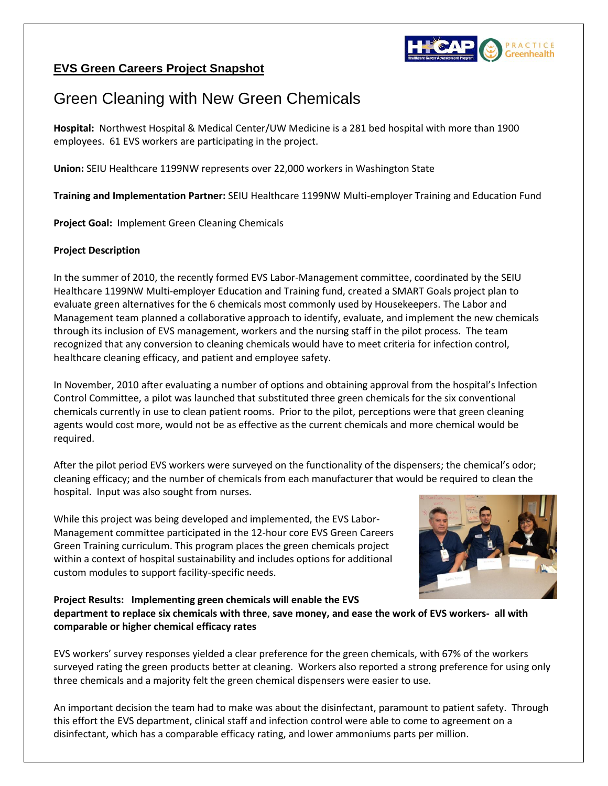

## **EVS Green Careers Project Snapshot**

## Green Cleaning with New Green Chemicals

**Hospital:** Northwest Hospital & Medical Center/UW Medicine is a 281 bed hospital with more than 1900 employees. 61 EVS workers are participating in the project.

**Union:** SEIU Healthcare 1199NW represents over 22,000 workers in Washington State

**Training and Implementation Partner:** SEIU Healthcare 1199NW Multi-employer Training and Education Fund

**Project Goal:** Implement Green Cleaning Chemicals

## **Project Description**

In the summer of 2010, the recently formed EVS Labor-Management committee, coordinated by the SEIU Healthcare 1199NW Multi-employer Education and Training fund, created a SMART Goals project plan to evaluate green alternatives for the 6 chemicals most commonly used by Housekeepers. The Labor and Management team planned a collaborative approach to identify, evaluate, and implement the new chemicals through its inclusion of EVS management, workers and the nursing staff in the pilot process. The team recognized that any conversion to cleaning chemicals would have to meet criteria for infection control, healthcare cleaning efficacy, and patient and employee safety.

In November, 2010 after evaluating a number of options and obtaining approval from the hospital's Infection Control Committee, a pilot was launched that substituted three green chemicals for the six conventional chemicals currently in use to clean patient rooms. Prior to the pilot, perceptions were that green cleaning agents would cost more, would not be as effective as the current chemicals and more chemical would be required.

After the pilot period EVS workers were surveyed on the functionality of the dispensers; the chemical's odor; cleaning efficacy; and the number of chemicals from each manufacturer that would be required to clean the hospital. Input was also sought from nurses.

While this project was being developed and implemented, the EVS Labor-Management committee participated in the 12-hour core EVS Green Careers Green Training curriculum. This program places the green chemicals project within a context of hospital sustainability and includes options for additional custom modules to support facility-specific needs.



**Project Results: Implementing green chemicals will enable the EVS department to replace six chemicals with three**, **save money, and ease the work of EVS workers- all with comparable or higher chemical efficacy rates**

EVS workers' survey responses yielded a clear preference for the green chemicals, with 67% of the workers surveyed rating the green products better at cleaning. Workers also reported a strong preference for using only three chemicals and a majority felt the green chemical dispensers were easier to use.

An important decision the team had to make was about the disinfectant, paramount to patient safety. Through this effort the EVS department, clinical staff and infection control were able to come to agreement on a disinfectant, which has a comparable efficacy rating, and lower ammoniums parts per million.